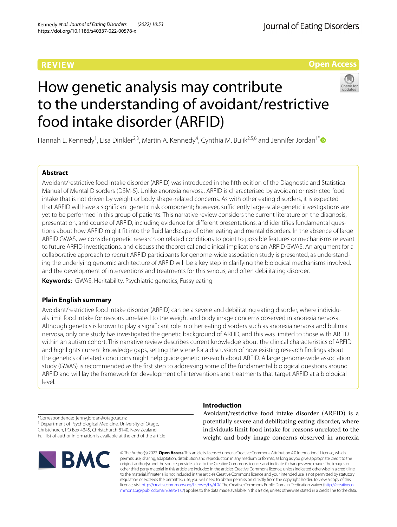# **REVIEW**



# How genetic analysis may contribute to the understanding of avoidant/restrictive food intake disorder (ARFID)



Hannah L. Kennedy<sup>1</sup>, Lisa Dinkler<sup>2,3</sup>, Martin A. Kennedy<sup>4</sup>, Cynthia M. Bulik<sup>2,5,6</sup> and Jennifer Jordan<sup>1[\\*](http://orcid.org/0000-0003-4699-6301)</sup>

# **Abstract**

Avoidant/restrictive food intake disorder (ARFID) was introduced in the ffth edition of the Diagnostic and Statistical Manual of Mental Disorders (DSM-5). Unlike anorexia nervosa, ARFID is characterised by avoidant or restricted food intake that is not driven by weight or body shape-related concerns. As with other eating disorders, it is expected that ARFID will have a significant genetic risk component; however, sufficiently large-scale genetic investigations are yet to be performed in this group of patients. This narrative review considers the current literature on the diagnosis, presentation, and course of ARFID, including evidence for diferent presentations, and identifes fundamental questions about how ARFID might ft into the fuid landscape of other eating and mental disorders. In the absence of large ARFID GWAS, we consider genetic research on related conditions to point to possible features or mechanisms relevant to future ARFID investigations, and discuss the theoretical and clinical implications an ARFID GWAS. An argument for a collaborative approach to recruit ARFID participants for genome-wide association study is presented, as understanding the underlying genomic architecture of ARFID will be a key step in clarifying the biological mechanisms involved, and the development of interventions and treatments for this serious, and often debilitating disorder.

**Keywords:** GWAS, Heritability, Psychiatric genetics, Fussy eating

# **Plain English summary**

Avoidant/restrictive food intake disorder (ARFID) can be a severe and debilitating eating disorder, where individuals limit food intake for reasons unrelated to the weight and body image concerns observed in anorexia nervosa. Although genetics is known to play a signifcant role in other eating disorders such as anorexia nervosa and bulimia nervosa, only one study has investigated the genetic background of ARFID, and this was limited to those with ARFID within an autism cohort. This narrative review describes current knowledge about the clinical characteristics of ARFID and highlights current knowledge gaps, setting the scene for a discussion of how existing research fndings about the genetics of related conditions might help guide genetic research about ARFID. A large genome-wide association study (GWAS) is recommended as the frst step to addressing some of the fundamental biological questions around ARFID and will lay the framework for development of interventions and treatments that target ARFID at a biological level.

**Introduction**

\*Correspondence: jenny.jordan@otago.ac.nz <sup>1</sup> Department of Psychological Medicine, University of Otago, Christchurch, PO Box 4345, Christchurch 8140, New Zealand Full list of author information is available at the end of the article



Avoidant/restrictive food intake disorder (ARFID) is a potentially severe and debilitating eating disorder, where individuals limit food intake for reasons unrelated to the weight and body image concerns observed in anorexia

© The Author(s) 2022. **Open Access** This article is licensed under a Creative Commons Attribution 4.0 International License, which permits use, sharing, adaptation, distribution and reproduction in any medium or format, as long as you give appropriate credit to the original author(s) and the source, provide a link to the Creative Commons licence, and indicate if changes were made. The images or other third party material in this article are included in the article's Creative Commons licence, unless indicated otherwise in a credit line to the material. If material is not included in the article's Creative Commons licence and your intended use is not permitted by statutory regulation or exceeds the permitted use, you will need to obtain permission directly from the copyright holder. To view a copy of this licence, visit [http://creativecommons.org/licenses/by/4.0/.](http://creativecommons.org/licenses/by/4.0/) The Creative Commons Public Domain Dedication waiver ([http://creativeco](http://creativecommons.org/publicdomain/zero/1.0/) [mmons.org/publicdomain/zero/1.0/](http://creativecommons.org/publicdomain/zero/1.0/)) applies to the data made available in this article, unless otherwise stated in a credit line to the data.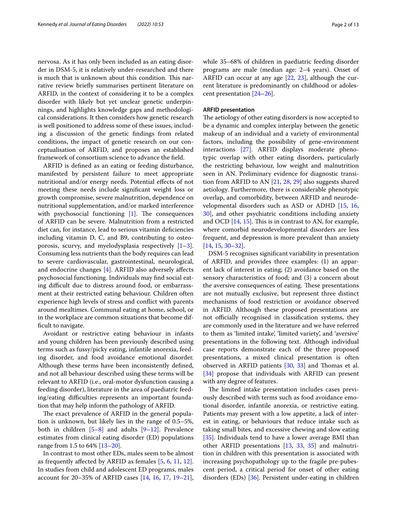nervosa. As it has only been included as an eating disorder in DSM-5, it is relatively under-researched and there is much that is unknown about this condition. This narrative review briefy summarises pertinent literature on ARFID, in the context of considering it to be a complex disorder with likely but yet unclear genetic underpinnings, and highlights knowledge gaps and methodological considerations. It then considers how genetic research is well positioned to address some of these issues, including a discussion of the genetic fndings from related conditions, the impact of genetic research on our conceptualisation of ARFID, and proposes an established framework of consortium science to advance the feld.

ARFID is defned as an eating or feeding disturbance, manifested by persistent failure to meet appropriate nutritional and/or energy needs. Potential efects of not meeting these needs include signifcant weight loss or growth compromise, severe malnutrition, dependence on nutritional supplementation, and/or marked interference with psychosocial functioning  $[1]$ . The consequences of ARFID can be severe. Malnutrition from a restricted diet can, for instance, lead to serious vitamin defciencies including vitamin D, C, and B9, contributing to osteoporosis, scurvy, and myelodysplasia respectively  $[1-3]$  $[1-3]$ . Consuming less nutrients than the body requires can lead to severe cardiovascular, gastrointestinal, neurological, and endocrine changes [[4](#page-9-2)]. ARFID also adversely afects psychosocial functioning. Individuals may fnd social eating difficult due to distress around food, or embarrassment at their restricted eating behaviour. Children often experience high levels of stress and confict with parents around mealtimes. Communal eating at home, school, or in the workplace are common situations that become difficult to navigate.

Avoidant or restrictive eating behaviour in infants and young children has been previously described using terms such as fussy/picky eating, infantile anorexia, feeding disorder, and food avoidance emotional disorder. Although these terms have been inconsistently defned, and not all behaviour described using these terms will be relevant to ARFID (i.e., oral-motor dysfunction causing a feeding disorder), literature in the area of paediatric feeding/eating difficulties represents an important foundation that may help inform the pathology of ARFID.

The exact prevalence of ARFID in the general population is unknown, but likely lies in the range of 0.5–5%, both in children  $[5-8]$  $[5-8]$  and adults  $[9-12]$  $[9-12]$ . Prevalence estimates from clinical eating disorder (ED) populations range from 1.5 to 64% [\[13](#page-9-7)[–20](#page-9-8)].

In contrast to most other EDs, males seem to be almost as frequently afected by ARFID as females [\[5](#page-9-3), [6](#page-9-9), [11](#page-9-10), [12](#page-9-6)]. In studies from child and adolescent ED programs, males account for 20–35% of ARFID cases [[14,](#page-9-11) [16,](#page-9-12) [17](#page-9-13), [19](#page-9-14)[–21](#page-10-0)], while 35–68% of children in paediatric feeding disorder programs are male (median age: 2–4 years). Onset of ARFID can occur at any age [\[22,](#page-10-1) [23](#page-10-2)], although the current literature is predominantly on childhood or adolescent presentation [\[24](#page-10-3)[–26\]](#page-10-4).

# **ARFID presentation**

The aetiology of other eating disorders is now accepted to be a dynamic and complex interplay between the genetic makeup of an individual and a variety of environmental factors, including the possibility of gene-environment interactions [[27\]](#page-10-5). ARFID displays moderate phenotypic overlap with other eating disorders, particularly the restricting behaviour, low weight and malnutrition seen in AN. Preliminary evidence for diagnostic transition from ARFID to AN [\[21](#page-10-0), [28,](#page-10-6) [29\]](#page-10-7) also suggests shared aetiology. Furthermore, there is considerable phenotypic overlap, and comorbidity, between ARFID and neurodevelopmental disorders such as ASD or ADHD [\[15](#page-9-15), [16](#page-9-12), [30\]](#page-10-8), and other psychiatric conditions including anxiety and OCD  $[14, 15]$  $[14, 15]$  $[14, 15]$ . This is in contrast to AN, for example, where comorbid neurodevelopmental disorders are less frequent, and depression is more prevalent than anxiety [[14,](#page-9-11) [15](#page-9-15), [30–](#page-10-8)[32](#page-10-9)].

DSM-5 recognises signifcant variability in presentation of ARFID, and provides three examples: (1) an apparent lack of interest in eating; (2) avoidance based on the sensory characteristics of food; and (3) a concern about the aversive consequences of eating. These presentations are not mutually exclusive, but represent three distinct mechanisms of food restriction or avoidance observed in ARFID. Although these proposed presentations are not officially recognised in classification systems, they are commonly used in the literature and we have referred to them as 'limited intake', 'limited variety', and 'aversive' presentations in the following text. Although individual case reports demonstrate each of the three proposed presentations, a mixed clinical presentation is often observed in ARFID patients [[30,](#page-10-8) [33](#page-10-10)] and Thomas et al. [[34\]](#page-10-11) propose that individuals with ARFID can present with any degree of features.

The limited intake presentation includes cases previously described with terms such as food avoidance emotional disorder, infantile anorexia, or restrictive eating. Patients may present with a low appetite, a lack of interest in eating, or behaviours that reduce intake such as taking small bites, and excessive chewing and slow eating [[35\]](#page-10-12). Individuals tend to have a lower average BMI than other ARFID presentations [\[13,](#page-9-7) [33,](#page-10-10) [35\]](#page-10-12) and malnutrition in children with this presentation is associated with increasing psychopathology up to the fragile pre-pubescent period, a critical period for onset of other eating disorders (EDs) [\[36](#page-10-13)]. Persistent under-eating in children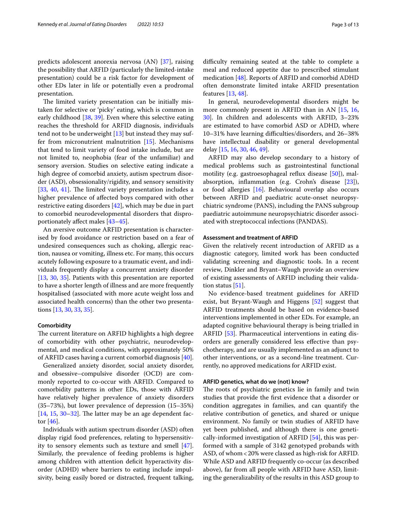predicts adolescent anorexia nervosa (AN) [[37\]](#page-10-14), raising the possibility that ARFID (particularly the limited-intake presentation) could be a risk factor for development of other EDs later in life or potentially even a prodromal presentation.

The limited variety presentation can be initially mistaken for selective or 'picky' eating, which is common in early childhood [[38,](#page-10-15) [39\]](#page-10-16). Even where this selective eating reaches the threshold for ARFID diagnosis, individuals tend not to be underweight [\[13\]](#page-9-7) but instead they may suffer from micronutrient malnutrition [[15\]](#page-9-15). Mechanisms that tend to limit variety of food intake include, but are not limited to, neophobia (fear of the unfamiliar) and sensory aversion. Studies on selective eating indicate a high degree of comorbid anxiety, autism spectrum disorder (ASD), obsessionality/rigidity, and sensory sensitivity  $[33, 40, 41]$  $[33, 40, 41]$  $[33, 40, 41]$  $[33, 40, 41]$  $[33, 40, 41]$  $[33, 40, 41]$  $[33, 40, 41]$ . The limited variety presentation includes a higher prevalence of afected boys compared with other restrictive eating disorders [\[42](#page-10-19)], which may be due in part to comorbid neurodevelopmental disorders that disproportionately afect males [[43](#page-10-20)[–45](#page-10-21)].

An aversive outcome ARFID presentation is characterised by food avoidance or restriction based on a fear of undesired consequences such as choking, allergic reaction, nausea or vomiting, illness etc. For many, this occurs acutely following exposure to a traumatic event, and individuals frequently display a concurrent anxiety disorder [[13,](#page-9-7) [30,](#page-10-8) [35](#page-10-12)]. Patients with this presentation are reported to have a shorter length of illness and are more frequently hospitalised (associated with more acute weight loss and associated health concerns) than the other two presentations [\[13](#page-9-7), [30,](#page-10-8) [33](#page-10-10), [35](#page-10-12)].

## **Comorbidity**

The current literature on ARFID highlights a high degree of comorbidity with other psychiatric, neurodevelopmental, and medical conditions, with approximately 50% of ARFID cases having a current comorbid diagnosis [\[40](#page-10-17)].

Generalized anxiety disorder, social anxiety disorder, and obsessive–compulsive disorder (OCD) are commonly reported to co-occur with ARFID. Compared to comorbidity patterns in other EDs, those with ARFID have relatively higher prevalence of anxiety disorders (35–73%), but lower prevalence of depression (15–35%)  $[14, 15, 30-32]$  $[14, 15, 30-32]$  $[14, 15, 30-32]$  $[14, 15, 30-32]$  $[14, 15, 30-32]$  $[14, 15, 30-32]$ . The latter may be an age dependent factor [\[46](#page-10-22)].

Individuals with autism spectrum disorder (ASD) often display rigid food preferences, relating to hypersensitivity to sensory elements such as texture and smell [\[47](#page-10-23)]. Similarly, the prevalence of feeding problems is higher among children with attention deficit hyperactivity disorder (ADHD) where barriers to eating include impulsivity, being easily bored or distracted, frequent talking,

difficulty remaining seated at the table to complete a meal and reduced appetite due to prescribed stimulant medication [\[48](#page-10-24)]. Reports of ARFID and comorbid ADHD often demonstrate limited intake ARFID presentation features [[13](#page-9-7), [48\]](#page-10-24).

In general, neurodevelopmental disorders might be more commonly present in ARFID than in AN [[15,](#page-9-15) [16](#page-9-12), [30\]](#page-10-8). In children and adolescents with ARFID, 3–23% are estimated to have comorbid ASD or ADHD, where 10–31% have learning difficulties/disorders, and 26–38% have intellectual disability or general developmental delay [\[15](#page-9-15), [16,](#page-9-12) [30,](#page-10-8) [46](#page-10-22), [49\]](#page-10-25).

ARFID may also develop secondary to a history of medical problems such as gastrointestinal functional motility (e.g. gastroesophageal refux disease [[50\]](#page-10-26)), malabsorption, infammation (e.g. Crohn's disease [\[23\]](#page-10-2)), or food allergies [[16\]](#page-9-12). Behavioural overlap also occurs between ARFID and paediatric acute-onset neuropsychiatric syndrome (PANS), including the PANS subgroup paediatric autoimmune neuropsychiatric disorder associated with streptococcal infections (PANDAS).

# **Assessment and treatment of ARFID**

Given the relatively recent introduction of ARFID as a diagnostic category, limited work has been conducted validating screening and diagnostic tools. In a recent review, Dinkler and Bryant–Waugh provide an overview of existing assessments of ARFID including their validation status [[51\]](#page-10-27).

No evidence-based treatment guidelines for ARFID exist, but Bryant-Waugh and Higgens [\[52](#page-10-28)] suggest that ARFID treatments should be based on evidence-based interventions implemented in other EDs. For example, an adapted cognitive behavioural therapy is being trialled in ARFID [\[53](#page-10-29)]. Pharmaceutical interventions in eating disorders are generally considered less efective than psychotherapy, and are usually implemented as an adjunct to other interventions, or as a second-line treatment. Currently, no approved medications for ARFID exist.

# **ARFID genetics, what do we (not) know?**

The roots of psychiatric genetics lie in family and twin studies that provide the frst evidence that a disorder or condition aggregates in families, and can quantify the relative contribution of genetics, and shared or unique environment. No family or twin studies of ARFID have yet been published, and although there is one genetically-informed investigation of ARFID [\[54\]](#page-10-30), this was performed with a sample of 3142 genotyped probands with ASD, of whom<20% were classed as high-risk for ARFID. While ASD and ARFID frequently co-occur (as described above), far from all people with ARFID have ASD, limiting the generalizability of the results in this ASD group to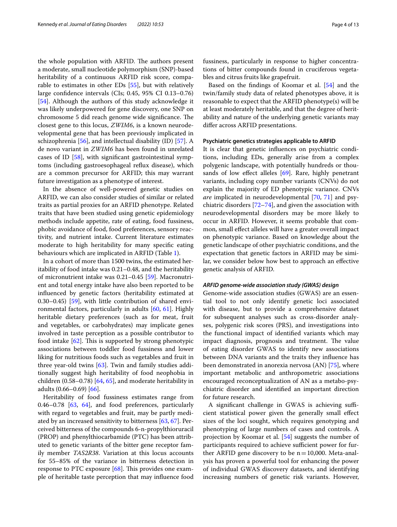the whole population with ARFID. The authors present a moderate, small nucleotide polymorphism (SNP)-based heritability of a continuous ARFID risk score, comparable to estimates in other EDs [\[55](#page-10-31)], but with relatively large confdence intervals (CIs; 0.45, 95% CI 0.13–0.76) [[54\]](#page-10-30). Although the authors of this study acknowledge it was likely underpowered for gene discovery, one SNP on chromosome 5 did reach genome wide significance. The closest gene to this locus, *ZWIM6*, is a known neurodevelopmental gene that has been previously implicated in schizophrenia [[56\]](#page-10-32), and intellectual disability (ID) [[57\]](#page-10-33). A de novo variant in *ZWIM6* has been found in unrelated cases of ID [\[58\]](#page-10-34), with signifcant gastrointestinal symptoms (including gastroesophageal refux disease), which are a common precursor for ARFID; this may warrant future investigation as a phenotype of interest.

In the absence of well-powered genetic studies on ARFID, we can also consider studies of similar or related traits as partial proxies for an ARFID phenotype. Related traits that have been studied using genetic epidemiology methods include appetite, rate of eating, food fussiness, phobic avoidance of food, food preferences, sensory reactivity, and nutrient intake. Current literature estimates moderate to high heritability for many specifc eating behaviours which are implicated in ARFID (Table [1\)](#page-4-0).

In a cohort of more than 1500 twins, the estimated heritability of food intake was 0.21–0.48, and the heritability of micronutrient intake was 0.21–0.45 [\[59](#page-10-35)]. Macronutrient and total energy intake have also been reported to be infuenced by genetic factors (heritability estimated at 0.30–0.45) [[59\]](#page-10-35), with little contribution of shared environmental factors, particularly in adults [\[60](#page-10-36), [61](#page-10-37)]. Highly heritable dietary preferences (such as for meat, fruit and vegetables, or carbohydrates) may implicate genes involved in taste perception as a possible contributor to food intake  $[62]$  $[62]$ . This is supported by strong phenotypic associations between toddler food fussiness and lower liking for nutritious foods such as vegetables and fruit in three year-old twins [\[63\]](#page-10-39). Twin and family studies additionally suggest high heritability of food neophobia in children (0.58–0.78) [[64,](#page-10-40) [65\]](#page-10-41), and moderate heritability in adults (0.66–0.69) [[66](#page-11-0)].

Heritability of food fussiness estimates range from 0.46–0.78  $[63, 64]$  $[63, 64]$  $[63, 64]$ , and food preferences, particularly with regard to vegetables and fruit, may be partly mediated by an increased sensitivity to bitterness [[63,](#page-10-39) [67\]](#page-11-1). Perceived bitterness of the compounds 6-n-propylthioruracil (PROP) and phenylthiocarbamide (PTC) has been attributed to genetic variants of the bitter gene receptor family member *TAS2R38*. Variation at this locus accounts for 55–85% of the variance in bitterness detection in response to PTC exposure  $[68]$  $[68]$ . This provides one example of heritable taste perception that may infuence food fussiness, particularly in response to higher concentrations of bitter compounds found in cruciferous vegetables and citrus fruits like grapefruit.

Based on the fndings of Koomar et al. [[54\]](#page-10-30) and the twin/family study data of related phenotypes above, it is reasonable to expect that the ARFID phenotype(s) will be at least moderately heritable, and that the degree of heritability and nature of the underlying genetic variants may difer across ARFID presentations.

# **Psychiatric genetics strategies applicable to ARFID**

It is clear that genetic infuences on psychiatric conditions, including EDs, generally arise from a complex polygenic landscape, with potentially hundreds or thousands of low effect alleles  $[69]$  $[69]$  $[69]$ . Rare, highly penetrant variants, including copy number variants (CNVs) do not explain the majority of ED phenotypic variance. CNVs *are* implicated in neurodevelopmental [\[70](#page-11-4), [71\]](#page-11-5) and psychiatric disorders [[72](#page-11-6)[–74](#page-11-7)], and given the association with neurodevelopmental disorders may be more likely to occur in ARFID. However, it seems probable that common, small efect alleles will have a greater overall impact on phenotypic variance. Based on knowledge about the genetic landscape of other psychiatric conditions, and the expectation that genetic factors in ARFID may be similar, we consider below how best to approach an efective genetic analysis of ARFID.

## *ARFID genome‑wide association study (GWAS) design*

Genome-wide association studies (GWAS) are an essential tool to not only identify genetic loci associated with disease, but to provide a comprehensive dataset for subsequent analyses such as cross-disorder analyses, polygenic risk scores (PRS), and investigations into the functional impact of identifed variants which may impact diagnosis, prognosis and treatment. The value of eating disorder GWAS to identify new associations between DNA variants and the traits they infuence has been demonstrated in anorexia nervosa (AN) [[75\]](#page-11-8), where important metabolic and anthropometric associations encouraged reconceptualization of AN as a metabo-psychiatric disorder and identifed an important direction for future research.

A significant challenge in GWAS is achieving sufficient statistical power given the generally small efect sizes of the loci sought, which requires genotyping and phenotyping of large numbers of cases and controls. A projection by Koomar et al. [[54](#page-10-30)] suggests the number of participants required to achieve sufficient power for further ARFID gene discovery to be  $n=10,000$ . Meta-analysis has proven a powerful tool for enhancing the power of individual GWAS discovery datasets, and identifying increasing numbers of genetic risk variants. However,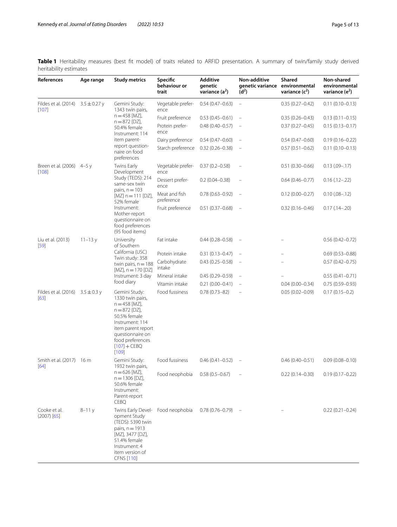<span id="page-4-0"></span>**Table 1** Heritability measures (best ft model) of traits related to ARFID presentation. A summary of twin/family study derived heritability estimates

| References                                       | Age range  | <b>Study metrics</b>                                                                                                                                                                                                  | Specific<br>behaviour or<br>trait | <b>Additive</b><br>qenetic<br>variance $(a^2)$ | Non-additive<br>genetic variance environmental<br>(d <sup>2</sup> ) | <b>Shared</b><br>variance $(c^2)$ | Non-shared<br>environmental<br>variance $(e^2)$ |
|--------------------------------------------------|------------|-----------------------------------------------------------------------------------------------------------------------------------------------------------------------------------------------------------------------|-----------------------------------|------------------------------------------------|---------------------------------------------------------------------|-----------------------------------|-------------------------------------------------|
| Fildes et al. (2014) $3.5 \pm 0.27$ y<br>$[107]$ |            | Gemini Study:<br>1343 twin pairs,<br>$n = 458$ [MZ],<br>$n = 872$ [DZ],<br>50.4% female<br>Instrument: 114<br>item parent-<br>report question-<br>naire on food<br>preferences                                        | Vegetable prefer-<br>ence         | $0.54(0.47 - 0.63)$                            | $\equiv$                                                            | $0.35(0.27 - 0.42)$               | $0.11(0.10 - 0.13)$                             |
|                                                  |            |                                                                                                                                                                                                                       | Fruit preference                  | $0.53(0.45 - 0.61)$                            |                                                                     | $0.35(0.26 - 0.43)$               | $0.13(0.11 - 0.15)$                             |
|                                                  |            |                                                                                                                                                                                                                       | Protein prefer-<br>ence           | $0.48(0.40 - 0.57)$                            | $\overline{\phantom{a}}$                                            | $0.37(0.27 - 0.45)$               | $0.15(0.13 - 0.17)$                             |
|                                                  |            |                                                                                                                                                                                                                       | Dairy preference                  | $0.54(0.47 - 0.60)$                            |                                                                     | $0.54(0.47 - 0.60)$               | $0.19(0.16 - 0.22)$                             |
|                                                  |            |                                                                                                                                                                                                                       | Starch preference                 | $0.32(0.26 - 0.38)$                            |                                                                     | $0.57(0.51 - 0.62)$               | $0.11(0.10 - 0.13)$                             |
| Breen et al. (2006) 4-5 y<br>[108]               |            | Twins Early<br>Development<br>Study (TEDS): 214<br>same-sex twin<br>pairs, $n = 103$<br>$[MZ]$ n = 111 [DZ],<br>52% female<br>Instrument:<br>Mother-report<br>questionnaire on<br>food preferences<br>(95 food items) | Vegetable prefer-<br>ence         | $0.37(0.2 - 0.58)$                             |                                                                     | $0.51(0.30 - 0.66)$               | $0.13(.09-.17)$                                 |
|                                                  |            |                                                                                                                                                                                                                       | Dessert prefer-<br>ence           | $0.2(0.04 - 0.38)$                             |                                                                     | $0.64(0.46 - 0.77)$               | $0.16$ (.12 - .22)                              |
|                                                  |            |                                                                                                                                                                                                                       | Meat and fish<br>preference       | $0.78(0.63 - 0.92)$                            | $\overline{\phantom{a}}$                                            | $0.12(0.00 - 0.27)$               | $0.10(.08 - .12)$                               |
|                                                  |            |                                                                                                                                                                                                                       | Fruit preference                  | $0.51(0.37 - 0.68)$                            | $\hspace{0.1mm}$                                                    | $0.32(0.16 - 0.46)$               | $0.17(.14 - .20)$                               |
| Liu et al. (2013)<br>$[59]$                      | $11 - 13y$ | University<br>of Southern<br>California (USC)<br>Twin study: 358<br>twin pairs, $n = 188$<br>$[MZ]$ , n = 170 [DZ]<br>Instrument: 3 day<br>food diary                                                                 | Fat intake                        | $0.44(0.28 - 0.58)$                            |                                                                     |                                   | $0.56(0.42 - 0.72)$                             |
|                                                  |            |                                                                                                                                                                                                                       | Protein intake                    | $0.31(0.13 - 0.47)$                            |                                                                     |                                   | $0.69(0.53 - 0.88)$                             |
|                                                  |            |                                                                                                                                                                                                                       | Carbohydrate<br>intake            | $0.43(0.25 - 0.58)$                            |                                                                     |                                   | $0.57(0.42 - 0.75)$                             |
|                                                  |            |                                                                                                                                                                                                                       | Mineral intake                    | $0.45(0.29 - 0.59)$                            |                                                                     |                                   | $0.55(0.41 - 0.71)$                             |
|                                                  |            |                                                                                                                                                                                                                       | Vitamin intake                    | $0.21(0.00 - 0.41)$                            |                                                                     | $0.04(0.00 - 0.34)$               | $0.75(0.59 - 0.93)$                             |
| Fildes et al. (2016) $3.5 \pm 0.3$ y<br>[63]     |            | Gemini Study:<br>1330 twin pairs,<br>$n = 458$ [MZ],<br>$n = 872$ [DZ],<br>50.5% female<br>Instrument: 114<br>item parent report<br>questionnaire on<br>food preferences<br>$[107] + CEBQ$<br>$[109]$                 | Food fussiness                    | $0.78(0.73 - 82)$                              |                                                                     | $0.05(0.02 - 0.09)$               | $0.17(0.15 - 0.2)$                              |
| Smith et al. (2017) 16 m<br>[64]                 |            | Gemini Study:<br>1932 twin pairs,<br>$n = 626$ [MZ],<br>$n = 1306$ [DZ],<br>50.6% female<br>Instrument:<br>Parent-report<br><b>CEBQ</b>                                                                               | Food fussiness                    | $0.46(0.41 - 0.52)$                            |                                                                     | $0.46(0.40 - 0.51)$               | $0.09(0.08 - 0.10)$                             |
|                                                  |            |                                                                                                                                                                                                                       | Food neophobia                    | $0.58(0.5 - 0.67)$                             |                                                                     | $0.22(0.14 - 0.30)$               | $0.19(0.17 - 0.22)$                             |
| Cooke et al.<br>$(2007)$ [65]                    | $8 - 11y$  | Twins Early Devel-<br>opment Study<br>(TEDS): 5390 twin<br>pairs, $n = 1913$<br>[MZ], 3477 [DZ],<br>51.4% female<br>Instrument: 4<br>item version of<br>CFNS [110]                                                    | Food neophobia                    | $0.78(0.76 - 0.79)$                            |                                                                     |                                   | $0.22(0.21 - 0.24)$                             |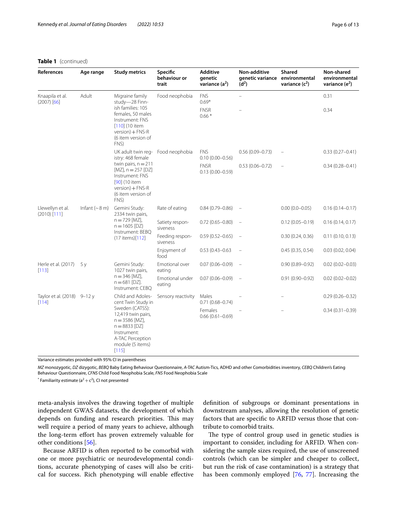# **Table 1** (continued)

| References                           | Age range                    | <b>Study metrics</b>                                                                                                                                                                                  | Specific<br>behaviour or<br>trait | <b>Additive</b><br>qenetic<br>variance $(a^2)$ | Non-additive<br>genetic variance environmental<br>$(d^2)$ | <b>Shared</b><br>variance $(c^2)$ | Non-shared<br>environmental<br>variance $(e^2)$ |
|--------------------------------------|------------------------------|-------------------------------------------------------------------------------------------------------------------------------------------------------------------------------------------------------|-----------------------------------|------------------------------------------------|-----------------------------------------------------------|-----------------------------------|-------------------------------------------------|
| Knaapila et al.<br>$(2007)$ [66]     | Adult                        | Migraine family<br>study-28 Finn-<br>ish families: 105<br>females, 50 males<br>Instrument: FNS<br>$[110]$ (10 item<br>$version$ + FNS-R<br>(6 item version of<br>FNS)                                 | Food neophobia                    | <b>FNS</b><br>$0.69*$                          | $\equiv$                                                  |                                   | 0.31                                            |
|                                      |                              |                                                                                                                                                                                                       |                                   | <b>FNSR</b><br>$0.66*$                         |                                                           |                                   | 0.34                                            |
|                                      |                              | UK adult twin reg- Food neophobia<br>istry: 468 female<br>twin pairs, $n = 211$<br>$[MZ]$ , n = 257 [DZ]<br>Instrument: FNS<br>[90] (10 item<br>$version$ + FNS-R<br>(6 item version of<br>FNS)       |                                   | <b>FNS</b><br>$0.10(0.00 - 0.56)$              | $0.56(0.09 - 0.73)$                                       |                                   | $0.33(0.27 - 0.41)$                             |
|                                      |                              |                                                                                                                                                                                                       |                                   | <b>FNSR</b><br>$0.13(0.00 - 0.59)$             | $0.53(0.06 - 0.72)$                                       |                                   | $0.34(0.28 - 0.41)$                             |
| Llewellyn et al.<br>$(2010)$ [111]   | Infant $({\sim}8 \text{ m})$ | Gemini Study:<br>2334 twin pairs,<br>$n = 729$ [MZ],<br>$n = 1605$ [DZ}<br>Instrument: BEBQ<br>(17 items)[112]                                                                                        | Rate of eating                    | $0.84(0.79 - 0.86)$                            | $\overline{\phantom{a}}$                                  | $0.00(0.0 - 0.05)$                | $0.16(0.14 - 0.17)$                             |
|                                      |                              |                                                                                                                                                                                                       | Satiety respon-<br>siveness       | $0.72(0.65 - 0.80)$                            | $\overline{\phantom{m}}$                                  | $0.12(0.05 - 0.19)$               | 0.16(0.14, 0.17)                                |
|                                      |                              |                                                                                                                                                                                                       | Feeding respon-<br>siveness       | $0.59(0.52 - 0.65)$                            | $\overline{\phantom{a}}$                                  | 0.30(0.24, 0.36)                  | 0.11(0.10, 0.13)                                |
|                                      |                              |                                                                                                                                                                                                       | Enjoyment of<br>food              | $0.53(0.43 - 0.63)$                            |                                                           | 0.45(0.35, 0.54)                  | 0.03(0.02, 0.04)                                |
| Herle et al. (2017)<br>[113]         | 5y                           | Gemini Study:<br>1027 twin pairs,<br>$n = 346$ [MZ],<br>$n = 681$ [DZ].<br>Instrument: CEBO                                                                                                           | Emotional over<br>eating          | $0.07(0.06 - 0.09)$                            | $\overline{\phantom{a}}$                                  | $0.90(0.89 - 0.92)$               | $0.02(0.02 - 0.03)$                             |
|                                      |                              |                                                                                                                                                                                                       | Emotional under<br>eating         | $0.07(0.06 - 0.09)$                            | $\overline{\phantom{a}}$                                  | $0.91(0.90 - 0.92)$               | $0.02(0.02 - 0.02)$                             |
| Taylor et al. (2018) 9-12 y<br>[114] |                              | Child and Adoles-<br>cent Twin Study in<br>Sweden (CATSS):<br>12,419 twin pairs,<br>$n = 3586$ [MZ],<br>$n = 8833$ [DZ]<br>Instrument:<br>A-TAC Perception<br>module (5 items)<br>[115]<br>2.50(0.01) | Sensory reactivity                | Males<br>$0.71(0.68 - 0.74)$                   |                                                           |                                   | $0.29(0.26 - 0.32)$                             |
|                                      |                              |                                                                                                                                                                                                       |                                   | Females<br>$0.66(0.61 - 0.69)$                 |                                                           |                                   | $0.34(0.31 - 0.39)$                             |

Variance estimates provided with 95% CI in parentheses

*MZ* monozygotic, *DZ* dizygotic, *BEBQ* Baby Eating Behaviour Questionnaire, *A-TAC* Autism-Tics, ADHD and other Comorbidities inventory, *CEBQ* Children's Eating Behaviour Questionnaire, *CFNS* Child Food Neophobia Scale, *FNS* Food Neophobia Scale

 $^*$  Familiarity estimate (a $^2 + c^2$ ), CI not presented

meta-analysis involves the drawing together of multiple independent GWAS datasets, the development of which depends on funding and research priorities. This may well require a period of many years to achieve, although the long-term effort has proven extremely valuable for other conditions [[56](#page-10-32)].

Because ARFID is often reported to be comorbid with one or more psychiatric or neurodevelopmental conditions, accurate phenotyping of cases will also be critical for success. Rich phenotyping will enable efective defnition of subgroups or dominant presentations in downstream analyses, allowing the resolution of genetic factors that are specifc to ARFID versus those that contribute to comorbid traits.

The type of control group used in genetic studies is important to consider, including for ARFID. When considering the sample sizes required, the use of unscreened controls (which can be simpler and cheaper to collect, but run the risk of case contamination) is a strategy that has been commonly employed [\[76](#page-11-13), [77\]](#page-11-14). Increasing the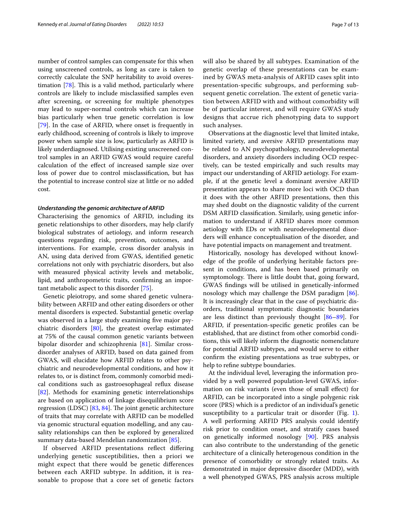number of control samples can compensate for this when using unscreened controls, as long as care is taken to correctly calculate the SNP heritability to avoid overestimation  $[78]$ . This is a valid method, particularly where controls are likely to include misclassifed samples even after screening, or screening for multiple phenotypes may lead to super-normal controls which can increase bias particularly when true genetic correlation is low [[79\]](#page-11-17). In the case of ARFID, where onset is frequently in early childhood, screening of controls is likely to improve power when sample size is low, particularly as ARFID is likely underdiagnosed. Utilising existing unscreened control samples in an ARFID GWAS would require careful calculation of the efect of increased sample size over loss of power due to control misclassifcation, but has the potential to increase control size at little or no added cost.

## *Understanding the genomic architecture of ARFID*

Characterising the genomics of ARFID, including its genetic relationships to other disorders, may help clarify biological substrates of aetiology, and inform research questions regarding risk, prevention, outcomes, and interventions. For example, cross disorder analysis in AN, using data derived from GWAS, identifed genetic correlations not only with psychiatric disorders, but also with measured physical activity levels and metabolic, lipid, and anthropometric traits, confrming an important metabolic aspect to this disorder [\[75](#page-11-8)].

Genetic pleiotropy, and some shared genetic vulnerability between ARFID and other eating disorders or other mental disorders is expected. Substantial genetic overlap was observed in a large study examining five major psychiatric disorders [\[80](#page-11-18)], the greatest overlap estimated at 75% of the causal common genetic variants between bipolar disorder and schizophrenia [[81\]](#page-11-19). Similar crossdisorder analyses of ARFID, based on data gained from GWAS, will elucidate how ARFID relates to other psychiatric and neurodevelopmental conditions, and how it relates to, or is distinct from, commonly comorbid medical conditions such as gastroesophageal refux disease [[82\]](#page-11-20). Methods for examining genetic interrelationships are based on application of linkage disequilibrium score regression (LDSC)  $[83, 84]$  $[83, 84]$  $[83, 84]$  $[83, 84]$ . The joint genetic architecture of traits that may correlate with ARFID can be modelled via genomic structural equation modelling, and any causality relationships can then be explored by generalized summary data-based Mendelian randomization [[85](#page-11-23)].

If observed ARFID presentations refect difering underlying genetic susceptibilities, then a priori we might expect that there would be genetic diferences between each ARFID subtype. In addition, it is reasonable to propose that a core set of genetic factors will also be shared by all subtypes. Examination of the genetic overlap of these presentations can be examined by GWAS meta-analysis of ARFID cases split into presentation-specifc subgroups, and performing subsequent genetic correlation. The extent of genetic variation between ARFID with and without comorbidity will be of particular interest, and will require GWAS study designs that accrue rich phenotyping data to support such analyses.

Observations at the diagnostic level that limited intake, limited variety, and aversive ARFID presentations may be related to AN psychopathology, neurodevelopmental disorders, and anxiety disorders including OCD respectively, can be tested empirically and such results may impact our understanding of ARFID aetiology. For example, if at the genetic level a dominant aversive ARFID presentation appears to share more loci with OCD than it does with the other ARFID presentations, then this may shed doubt on the diagnostic validity of the current DSM ARFID classifcation. Similarly, using genetic information to understand if ARFID shares more common aetiology with EDs or with neurodevelopmental disorders will enhance conceptualisation of the disorder, and have potential impacts on management and treatment.

Historically, nosology has developed without knowledge of the profle of underlying heritable factors present in conditions, and has been based primarily on symptomology. There is little doubt that, going forward, GWAS fndings will be utilised in genetically-informed nosology which may challenge the DSM paradigm [\[86](#page-11-24)]. It is increasingly clear that in the case of psychiatric disorders, traditional symptomatic diagnostic boundaries are less distinct than previously thought [[86–](#page-11-24)[89](#page-11-25)]. For ARFID, if presentation-specifc genetic profles can be established, that are distinct from other comorbid conditions, this will likely inform the diagnostic nomenclature for potential ARFID subtypes, and would serve to either confrm the existing presentations as true subtypes, or help to refne subtype boundaries.

At the individual level, leveraging the information provided by a well powered population-level GWAS, information on risk variants (even those of small efect) for ARFID, can be incorporated into a single polygenic risk score (PRS) which is a predictor of an individual's genetic susceptibility to a particular trait or disorder (Fig. [1](#page-7-0)). A well performing ARFID PRS analysis could identify risk prior to condition onset, and stratify cases based on genetically informed nosology [\[90\]](#page-11-15). PRS analysis can also contribute to the understanding of the genetic architecture of a clinically heterogenous condition in the presence of comorbidity or strongly related traits. As demonstrated in major depressive disorder (MDD), with a well phenotyped GWAS, PRS analysis across multiple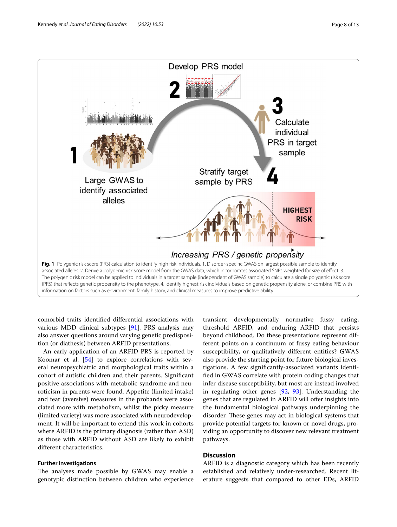

<span id="page-7-0"></span>comorbid traits identifed diferential associations with various MDD clinical subtypes [\[91](#page-11-26)]. PRS analysis may also answer questions around varying genetic predisposition (or diathesis) between ARFID presentations.

An early application of an ARFID PRS is reported by Koomar et al. [\[54](#page-10-30)] to explore correlations with several neuropsychiatric and morphological traits within a cohort of autistic children and their parents. Signifcant positive associations with metabolic syndrome and neuroticism in parents were found. Appetite (limited intake) and fear (aversive) measures in the probands were associated more with metabolism, whilst the picky measure (limited variety) was more associated with neurodevelopment. It will be important to extend this work in cohorts where ARFID is the primary diagnosis (rather than ASD) as those with ARFID without ASD are likely to exhibit diferent characteristics.

## **Further investigations**

The analyses made possible by GWAS may enable a genotypic distinction between children who experience

transient developmentally normative fussy eating, threshold ARFID, and enduring ARFID that persists beyond childhood. Do these presentations represent different points on a continuum of fussy eating behaviour susceptibility, or qualitatively diferent entities? GWAS also provide the starting point for future biological investigations. A few signifcantly-associated variants identifed in GWAS correlate with protein coding changes that infer disease susceptibility, but most are instead involved in regulating other genes [\[92,](#page-11-27) [93](#page-11-28)]. Understanding the genes that are regulated in ARFID will offer insights into the fundamental biological pathways underpinning the disorder. These genes may act in biological systems that provide potential targets for known or novel drugs, providing an opportunity to discover new relevant treatment pathways.

# **Discussion**

ARFID is a diagnostic category which has been recently established and relatively under-researched. Recent literature suggests that compared to other EDs, ARFID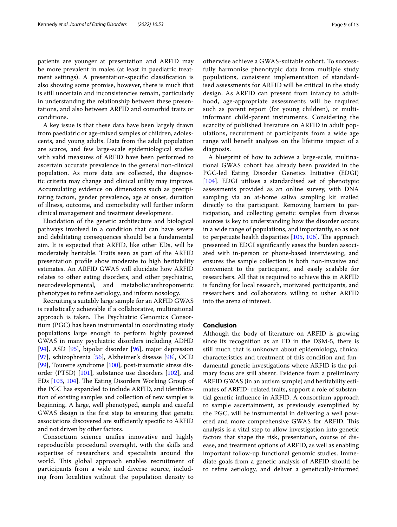patients are younger at presentation and ARFID may be more prevalent in males (at least in paediatric treatment settings). A presentation-specifc classifcation is also showing some promise, however, there is much that is still uncertain and inconsistencies remain, particularly in understanding the relationship between these presentations, and also between ARFID and comorbid traits or conditions.

A key issue is that these data have been largely drawn from paediatric or age-mixed samples of children, adolescents, and young adults. Data from the adult population are scarce, and few large-scale epidemiological studies with valid measures of ARFID have been performed to ascertain accurate prevalence in the general non-clinical population. As more data are collected, the diagnostic criteria may change and clinical utility may improve. Accumulating evidence on dimensions such as precipitating factors, gender prevalence, age at onset, duration of illness, outcome, and comorbidity will further inform clinical management and treatment development.

Elucidation of the genetic architecture and biological pathways involved in a condition that can have severe and debilitating consequences should be a fundamental aim. It is expected that ARFID, like other EDs, will be moderately heritable. Traits seen as part of the ARFID presentation profle show moderate to high heritability estimates. An ARFID GWAS will elucidate how ARFID relates to other eating disorders, and other psychiatric, neurodevelopmental, and metabolic/anthropometric phenotypes to refne aetiology, and inform nosology.

Recruiting a suitably large sample for an ARFID GWAS is realistically achievable if a collaborative, multinational approach is taken. The Psychiatric Genomics Consortium (PGC) has been instrumental in coordinating study populations large enough to perform highly powered GWAS in many psychiatric disorders including ADHD [[94\]](#page-11-29), ASD [[95](#page-11-30)], bipolar disorder [\[96](#page-11-31)], major depression [[97\]](#page-11-32), schizophrenia [[56\]](#page-10-32), Alzheimer's disease [[98](#page-11-33)], OCD [[99\]](#page-11-34), Tourette syndrome [[100](#page-11-35)], post-traumatic stress disorder (PTSD) [[101](#page-11-36)], substance use disorders [\[102](#page-11-37)], and EDs [[103](#page-11-38), [104](#page-11-39)]. The Eating Disorders Working Group of the PGC has expanded to include ARFID, and identifcation of existing samples and collection of new samples is beginning. A large, well phenotyped, sample and careful GWAS design is the frst step to ensuring that genetic associations discovered are sufficiently specific to ARFID and not driven by other factors.

Consortium science unifes innovative and highly reproducible procedural oversight, with the skills and expertise of researchers and specialists around the world. This global approach enables recruitment of participants from a wide and diverse source, including from localities without the population density to otherwise achieve a GWAS-suitable cohort. To successfully harmonise phenotypic data from multiple study populations, consistent implementation of standardised assessments for ARFID will be critical in the study design. As ARFID can present from infancy to adulthood, age-appropriate assessments will be required such as parent report (for young children), or multiinformant child-parent instruments. Considering the scarcity of published literature on ARFID in adult populations, recruitment of participants from a wide age range will beneft analyses on the lifetime impact of a diagnosis.

A blueprint of how to achieve a large-scale, multinational GWAS cohort has already been provided in the PGC-led Eating Disorder Genetics Initiative (EDGI) [[104\]](#page-11-39). EDGI utilises a standardised set of phenotypic assessments provided as an online survey, with DNA sampling via an at-home saliva sampling kit mailed directly to the participant. Removing barriers to participation, and collecting genetic samples from diverse sources is key to understanding how the disorder occurs in a wide range of populations, and importantly, so as not to perpetuate health disparities  $[105, 106]$  $[105, 106]$  $[105, 106]$  $[105, 106]$ . The approach presented in EDGI signifcantly eases the burden associated with in-person or phone-based interviewing, and ensures the sample collection is both non-invasive and convenient to the participant, and easily scalable for researchers. All that is required to achieve this in ARFID is funding for local research, motivated participants, and researchers and collaborators willing to usher ARFID into the arena of interest.

# **Conclusion**

Although the body of literature on ARFID is growing since its recognition as an ED in the DSM-5, there is still much that is unknown about epidemiology, clinical characteristics and treatment of this condition and fundamental genetic investigations where ARFID is the primary focus are still absent. Evidence from a preliminary ARFID GWAS (in an autism sample) and heritability estimates of ARFID- related traits, support a role of substantial genetic infuence in ARFID. A consortium approach to sample ascertainment, as previously exemplifed by the PGC, will be instrumental in delivering a well powered and more comprehensive GWAS for ARFID. This analysis is a vital step to allow investigation into genetic factors that shape the risk, presentation, course of disease, and treatment options of ARFID, as well as enabling important follow-up functional genomic studies. Immediate goals from a genetic analysis of ARFID should be to refne aetiology, and deliver a genetically-informed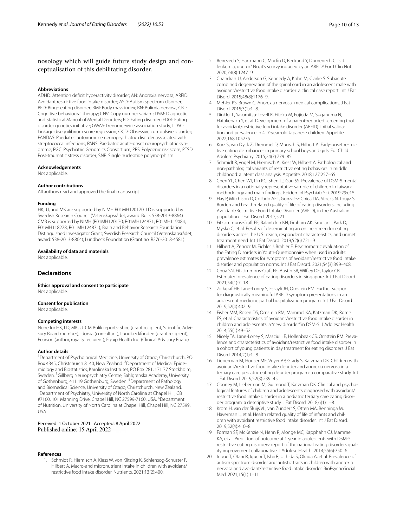# nosology which will guide future study design and conceptualisation of this debilitating disorder.

## **Abbreviations**

ADHD: Attention deficit hyperactivity disorder; AN: Anorexia nervosa; ARFID: Avoidant restrictive food intake disorder; ASD: Autism spectrum disorder; BED: Binge eating disorder; BMI: Body mass index; BN: Bulimia nervosa; CBT: Cognitive behavioural therapy; CNV: Copy number variant; DSM: Diagnostic and Statistical Manual of Mental Disorders; ED: Eating disorder; EDGI: Eating disorder genetics initiative; GWAS: Genome-wide association study; LDSC: Linkage disequilibrium score regression; OCD: Obsessive compulsive disorder; PANDAS: Paediatric autoimmune neuropsychiatric disorder associated with streptococcal infections; PANS: Paediatric acute-onset neuropsychiatric syndrome; PGC: Psychiatric Genomics Consortium; PRS: Polygenic risk score; PTSD: Post-traumatic stress disorder; SNP: Single nucleotide polymorphism.

## **Acknowledgements**

Not applicable.

### **Author contributions**

All authors read and approved the fnal manuscript.

### **Funding**

HK, JJ, and MK are supported by NIMH R01MH120170. LD is supported by Swedish Research Council (Vetenskapsrådet, award: Bulik 538-2013-8864). CMB is supported by NIMH (R01MH120170; R01MH124871; R01MH119084; R01MH118278; R01 MH124871); Brain and Behavior Research Foundation Distinguished Investigator Grant; Swedish Research Council (Vetenskapsrådet, award: 538-2013-8864); Lundbeck Foundation (Grant no. R276-2018-4581).

## **Availability of data and materials**

Not applicable.

## **Declarations**

**Ethics approval and consent to participate** Not applicable.

### **Consent for publication**

Not applicable.

## **Competing interests**

None for HK, LD, MK, JJ. CM Bulik reports: Shire (grant recipient, Scientifc Advisory Board member); Idorsia (consultant); Lundbeckfonden (grant recipient); Pearson (author, royalty recipient); Equip Health Inc. (Clinical Advisory Board).

## **Author details**

<sup>1</sup> Department of Psychological Medicine, University of Otago, Christchurch, PO Box 4345, Christchurch 8140, New Zealand. <sup>2</sup> Department of Medical Epidemiology and Biostatistics, Karolinska Institutet, PO Box 281, 171 77 Stockholm, Sweden. <sup>3</sup>Gillberg Neuropsychiatry Centre, Sahlgrenska Academy, University of Gothenburg, 411 19 Gothenburg, Sweden. <sup>4</sup> Department of Pathology and Biomedical Science, University of Otago, Christchurch, New Zealand. 5 <sup>5</sup> Department of Psychiatry, University of North Carolina at Chapel Hill, CB #7160, 101 Manning Drive, Chapel Hill, NC 27599-7160, USA. <sup>6</sup>Department of Nutrition, University of North Carolina at Chapel Hill, Chapel Hill, NC 27599, USA.

Received: 1 October 2021 Accepted: 8 April 2022 Published online: 15 April 2022

#### <span id="page-9-0"></span>**References**

1. Schmidt R, Hiemisch A, Kiess W, von Klitzing K, Schlensog-Schuster F, Hilbert A. Macro-and micronutrient intake in children with avoidant/ restrictive food intake disorder. Nutrients. 2021;13(2):400.

- 2. Benezech S, Hartmann C, Morfn D, Bertrand Y, Domenech C. Is it leukemia, doctor? No, it's scurvy induced by an ARFID! Eur J Clin Nutr. 2020;74(8):1247–9.
- <span id="page-9-1"></span>3. Chandran JJ, Anderson G, Kennedy A, Kohn M, Clarke S. Subacute combined degeneration of the spinal cord in an adolescent male with avoidant/restrictive food intake disorder: a clinical case report. Int J Eat Disord. 2015;48(8):1176–9.
- <span id="page-9-2"></span>4. Mehler PS, Brown C. Anorexia nervosa–medical complications. J Eat Disord. 2015;3(1):1–8.
- <span id="page-9-3"></span>5. Dinkler L, Yasumitsu-Lovell K, Eitoku M, Fujieda M, Suganuma N, Hatakenaka Y, et al. Development of a parent-reported screening tool for avoidant/restrictive food intake disorder (ARFID): initial validation and prevalence in 4–7-year-old Japanese children. Appetite. 2022;168:105735.
- <span id="page-9-9"></span>6. Kurz S, van Dyck Z, Dremmel D, Munsch S, Hilbert A. Early-onset restrictive eating disturbances in primary school boys and girls. Eur Child Adolesc Psychiatry. 2015;24(7):779–85.
- 7. Schmidt R, Vogel M, Hiemisch A, Kiess W, Hilbert A. Pathological and non-pathological variants of restrictive eating behaviors in middle childhood: a latent class analysis. Appetite. 2018;127:257–65.
- <span id="page-9-4"></span>8. Chen YL, Chen WJ, Lin KC, Shen LJ, Gau SS. Prevalence of DSM-5 mental disorders in a nationally representative sample of children in Taiwan: methodology and main fndings. Epidemiol Psychiatr Sci. 2019;29:e15.
- <span id="page-9-5"></span>9. Hay P, Mitchison D, Collado AEL, Gonzalez-Chica DA, Stocks N, Touyz S. Burden and health-related quality of life of eating disorders, including Avoidant/Restrictive Food Intake Disorder (ARFID), in the Australian population. J Eat Disord. 2017;5:21.
- 10. Fitzsimmons-Craft EE, Balantekin KN, Graham AK, Smolar L, Park D, Mysko C, et al. Results of disseminating an online screen for eating disorders across the U.S.: reach, respondent characteristics, and unmet treatment need. Int J Eat Disord. 2019;52(6):721–9.
- <span id="page-9-10"></span>11. Hilbert A, Zenger M, Eichler J, Brahler E. Psychometric evaluation of the Eating Disorders in Youth-Questionnaire when used in adults: prevalence estimates for symptoms of avoidant/restrictive food intake disorder and population norms. Int J Eat Disord. 2021;54(3):399–408.
- <span id="page-9-6"></span>12. Chua SN, Fitzsimmons-Craft EE, Austin SB, Wilfey DE, Taylor CB. Estimated prevalence of eating disorders in Singapore. Int J Eat Disord. 2021;54(1):7–18.
- <span id="page-9-7"></span>13. Zickgraf HF, Lane-Loney S, Essayli JH, Ornstein RM. Further support for diagnostically meaningful ARFID symptom presentations in an adolescent medicine partial hospitalization program. Int J Eat Disord. 2019;52(4):402–9.
- <span id="page-9-11"></span>14. Fisher MM, Rosen DS, Ornstein RM, Mammel KA, Katzman DK, Rome ES, et al. Characteristics of avoidant/restrictive food intake disorder in children and adolescents: a "new disorder" in DSM-5. J Adolesc Health. 2014;55(1):49–52.
- <span id="page-9-15"></span>15. Nicely TA, Lane-Loney S, Masciulli E, Hollenbeak CS, Ornstein RM. Prevalence and characteristics of avoidant/restrictive food intake disorder in a cohort of young patients in day treatment for eating disorders. J Eat Disord. 2014;2(1):1–8.
- <span id="page-9-12"></span>16. Lieberman M, Houser ME, Voyer AP, Grady S, Katzman DK. Children with avoidant/restrictive food intake disorder and anorexia nervosa in a tertiary care pediatric eating disorder program: a comparative study. Int J Eat Disord. 2019;52(3):239–45.
- <span id="page-9-13"></span>17. Cooney M, Lieberman M, Guimond T, Katzman DK. Clinical and psychological features of children and adolescents diagnosed with avoidant/ restrictive food intake disorder in a pediatric tertiary care eating disorder program: a descriptive study. J Eat Disord. 2018;6(1):1–8.
- 18. Krom H, van der Sluijs VL, van Zundert S, Otten MA, Benninga M, Haverman L, et al. Health related quality of life of infants and children with avoidant restrictive food intake disorder. Int J Eat Disord. 2019;52(4):410–8.
- <span id="page-9-14"></span>19. Forman SF, McKenzie N, Hehn R, Monge MC, Kapphahn CJ, Mammel KA, et al. Predictors of outcome at 1 year in adolescents with DSM-5 restrictive eating disorders: report of the national eating disorders quality improvement collaborative. J Adolesc Health. 2014;55(6):750–6.
- <span id="page-9-8"></span>20. Inoue T, Otani R, Iguchi T, Ishii R, Uchida S, Okada A, et al. Prevalence of autism spectrum disorder and autistic traits in children with anorexia nervosa and avoidant/restrictive food intake disorder. BioPsychoSocial Med. 2021;15(1):1–11.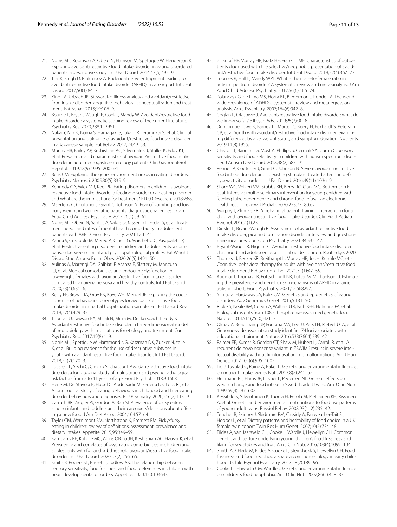- <span id="page-10-0"></span>21. Norris ML, Robinson A, Obeid N, Harrison M, Spettigue W, Henderson K. Exploring avoidant/restrictive food intake disorder in eating disordered patients: a descriptive study. Int J Eat Disord. 2014;47(5):495–9.
- <span id="page-10-1"></span>22. Tsai K, Singh D, Pinkhasov A. Pudendal nerve entrapment leading to avoidant/restrictive food intake disorder (ARFID): a case report. Int J Eat Disord. 2017;50(1):84–7.
- <span id="page-10-2"></span>23. King LA, Urbach JR, Stewart KE. Illness anxiety and avoidant/restrictive food intake disorder: cognitive–behavioral conceptualization and treatment. Eat Behav. 2015;19:106–9.
- <span id="page-10-3"></span>24. Bourne L, Bryant-Waugh R, Cook J, Mandy W. Avoidant/restrictive food intake disorder: a systematic scoping review of the current literature. Psychiatry Res. 2020;288:112961.
- 25. Nakai Y, Nin K, Noma S, Hamagaki S, Takagi R, Teramukai S, et al. Clinical presentation and outcome of avoidant/restrictive food intake disorder in a Japanese sample. Eat Behav. 2017;24:49–53.
- <span id="page-10-4"></span>26. Murray HB, Bailey AP, Keshishian AC, Silvernale CJ, Staller K, Eddy KT, et al. Prevalence and characteristics of avoidant/restrictive food intake disorder in adult neurogastroenterology patients. Clin Gastroenterol Hepatol. 2019;18(9):1995–2002.e1.
- <span id="page-10-5"></span>27. Bulik CM. Exploring the gene–environment nexus in eating disorders. J Psychiatry Neurosci. 2005;30(5):335–9.
- <span id="page-10-6"></span>28. Kennedy GA, Wick MR, Keel PK. Eating disorders in children: is avoidant– restrictive food intake disorder a feeding disorder or an eating disorder and what are the implications for treatment? F1000Research. 2018;7:88.
- <span id="page-10-7"></span>29. Maertens C, Couturier J, Grant C, Johnson N. Fear of vomiting and low body weight in two pediatric patients: diagnostic challenges. J Can Acad Child Adolesc Psychiatry. 2017;26(1):59–61.
- <span id="page-10-8"></span>30. Norris ML, Obeid N, Santos A, Valois DD, Isserlin L, Feder S, et al. Treatment needs and rates of mental health comorbidity in adolescent patients with ARFID. Front Psychiatry. 2021;12:1144.
- 31. Zanna V, Criscuolo M, Mereu A, Cinelli G, Marchetto C, Pasqualetti P, et al. Restrictive eating disorders in children and adolescents: a comparison between clinical and psychopathological profles. Eat Weight Disord Stud Anorex Bulim Obes. 2020;26(5):1491–501.
- <span id="page-10-9"></span>32. Aulinas A, Marengi DA, Galbiati F, Asanza E, Slattery M, Mancuso CJ, et al. Medical comorbidities and endocrine dysfunction in low-weight females with avoidant/restrictive food intake disorder compared to anorexia nervosa and healthy controls. Int J Eat Disord. 2020;53(4):631–6.
- <span id="page-10-10"></span>33. Reilly EE, Brown TA, Gray EK, Kaye WH, Menzel JE. Exploring the cooccurrence of behavioural phenotypes for avoidant/restrictive food intake disorder in a partial hospitalization sample. Eur Eat Disord Rev. 2019;27(4):429–35.
- <span id="page-10-11"></span>34. Thomas JJ, Lawson EA, Micali N, Misra M, Deckersbach T, Eddy KT. Avoidant/restrictive food intake disorder: a three-dimensional model of neurobiology with implications for etiology and treatment. Curr Psychiatry Rep. 2017;19(8):1–9.
- <span id="page-10-12"></span>35. Norris ML, Spettigue W, Hammond NG, Katzman DK, Zucker N, Yelle K, et al. Building evidence for the use of descriptive subtypes in youth with avoidant restrictive food intake disorder. Int J Eat Disord. 2018;51(2):170–3.
- <span id="page-10-13"></span>36. Lucarelli L, Sechi C, Cimino S, Chatoor I. Avoidant/restrictive food intake disorder: a longitudinal study of malnutrition and psychopathological risk factors from 2 to 11 years of age. Front Psychol. 2018;9:1608.
- <span id="page-10-14"></span>37. Herle M, De Stavola B, Hübel C, Abdulkadir M, Ferreira DS, Loos RJ, et al. A longitudinal study of eating behaviours in childhood and later eating disorder behaviours and diagnoses. Br J Psychiatry. 2020;216(2):113–9.
- <span id="page-10-15"></span>38. Carruth BR, Ziegler PJ, Gordon A, Barr SI. Prevalence of picky eaters among infants and toddlers and their caregivers' decisions about ofering a new food. J Am Diet Assoc. 2004;104:57–64.
- <span id="page-10-16"></span>39. Taylor CM, Wernimont SM, Northstone K, Emmett PM. Picky/fussy eating in children: review of defnitions, assessment, prevalence and dietary intakes. Appetite. 2015;95:349–59.
- <span id="page-10-17"></span>Kambanis PE, Kuhnle MC, Wons OB, Jo JH, Keshishian AC, Hauser K, et al. Prevalence and correlates of psychiatric comorbidities in children and adolescents with full and subthreshold avoidant/restrictive food intake disorder. Int J Eat Disord. 2020;53(2):256–65.
- <span id="page-10-18"></span>41. Smith B, Rogers SL, Blissett J, Ludlow AK. The relationship between sensory sensitivity, food fussiness and food preferences in children with neurodevelopmental disorders. Appetite. 2020;150:104643.
- <span id="page-10-19"></span>42. Zickgraf HF, Murray HB, Kratz HE, Franklin ME. Characteristics of outpatients diagnosed with the selective/neophobic presentation of avoidant/restrictive food intake disorder. Int J Eat Disord. 2019;52(4):367–77.
- <span id="page-10-20"></span>43. Loomes R, Hull L, Mandy WPL. What is the male-to-female ratio in autism spectrum disorder? A systematic review and meta-analysis. J Am Acad Child Adolesc Psychiatry. 2017;56(6):466–74.
- 44. Polanczyk G, de Lima MS, Horta BL, Biederman J, Rohde LA. The worldwide prevalence of ADHD: a systematic review and metaregression analysis. Am J Psychiatry. 2007;164(6):942–8.
- <span id="page-10-21"></span>45. Coglan L, Otasowie J. Avoidant/restrictive food intake disorder: what do we know so far? BJPsych Adv. 2019;25(2):90–8.
- <span id="page-10-22"></span>46. Duncombe Lowe K, Barnes TL, Martell C, Keery H, Eckhardt S, Peterson CB, et al. Youth with avoidant/restrictive food intake disorder: examining diferences by age, weight status, and symptom duration. Nutrients. 2019;11(8):1955.
- <span id="page-10-23"></span>47. Chistol LT, Bandini LG, Must A, Phillips S, Cermak SA, Curtin C. Sensory sensitivity and food selectivity in children with autism spectrum disorder. J Autism Dev Disord. 2018;48(2):583–91.
- <span id="page-10-24"></span>48. Pennell A, Couturier J, Grant C, Johnson N. Severe avoidant/restrictive food intake disorder and coexisting stimulant treated attention defcit hyperactivity disorder. Int J Eat Disord. 2016;49(11):1036–9.
- <span id="page-10-25"></span>49. Sharp WG, Volkert VM, Stubbs KH, Berry RC, Clark MC, Bettermann EL, et al. Intensive multidisciplinary intervention for young children with feeding tube dependence and chronic food refusal: an electronic health record review. J Pediatr. 2020;223:73–80.e2.
- <span id="page-10-26"></span>50. Murphy J, Zlomke KR. A behavioral parent–training intervention for a child with avoidant/restrictive food intake disorder. Clin Pract Pediatr Psychol. 2016;4(1):23.
- <span id="page-10-27"></span>51. Dinkler L, Bryant-Waugh R. Assessment of avoidant restrictive food intake disorder, pica and rumination disorder: interview and questionnaire measures. Curr Opin Psychiatry. 2021;34:532–42.
- <span id="page-10-28"></span>52. Bryant-Waugh R, Higgins C. Avoidant restrictive food intake disorder in childhood and adolescence: a clinical guide. London: Routledge; 2020.
- <span id="page-10-29"></span>53. Thomas JJ, Becker KR, Breithaupt L, Murray HB, Jo JH, Kuhnle MC, et al. Cognitive–behavioral therapy for adults with avoidant/restrictive food intake disorder. J Behav Cogn Ther. 2021;31(1):47–55.
- <span id="page-10-30"></span>54. Koomar T, Thomas TR, Pottschmidt NR, Lutter M, Michaelson JJ. Estimating the prevalence and genetic risk mechanisms of ARFID in a large autism cohort. Front Psychiatry. 2021;12:668297.
- <span id="page-10-31"></span>55. Yilmaz Z, Hardaway JA, Bulik CM. Genetics and epigenetics of eating disorders. Adv Genomics Genet. 2015;5:131–50.
- <span id="page-10-32"></span>56. Ripke S, Neale BM, Corvin A, Walters JTR, Farh K-H, Holmans PA, et al. Biological insights from 108 schizophrenia-associated genetic loci. Nature. 2014;511(7510):421–7.
- <span id="page-10-33"></span>57. Okbay A, Beauchamp JP, Fontana MA, Lee JJ, Pers TH, Rietveld CA, et al. Genome-wide association study identifes 74 loci associated with educational attainment. Nature. 2016;533(7604):539–42.
- <span id="page-10-34"></span>58. Palmer EE, Kumar R, Gordon CT, Shaw M, Hubert L, Carroll R, et al. A recurrent de novo nonsense variant in ZSWIM6 results in severe intellectual disability without frontonasal or limb malformations. Am J Hum Genet. 2017;101(6):995–1005.
- <span id="page-10-35"></span>59. Liu J, Tuvblad C, Raine A, Baker L. Genetic and environmental infuences on nutrient intake. Genes Nutr. 2013;8(2):241–52.
- <span id="page-10-36"></span>60. Heitmann BL, Harris JR, Lissner L, Pedersen NL. Genetic efects on weight change and food intake in Swedish adult twins. Am J Clin Nutr. 1999;69(4):597–602.
- <span id="page-10-37"></span>61. Keskitalo K, Silventoinen K, Tuorila H, Perola M, Pietiläinen KH, Rissanen A, et al. Genetic and environmental contributions to food use patterns of young adult twins. Physiol Behav. 2008;93(1–2):235–42.
- <span id="page-10-38"></span>62. Teucher B, Skinner J, Skidmore PM, Cassidy A, Fairweather-Tait SJ, Hooper L, et al. Dietary patterns and heritability of food choice in a UK female twin cohort. Twin Res Hum Genet. 2007;10(5):734–48.
- <span id="page-10-39"></span>63. Fildes A, van Jaarsveld CH, Cooke L, Wardle J, Llewellyn CH. Common genetic architecture underlying young children's food fussiness and liking for vegetables and fruit. Am J Clin Nutr. 2016;103(4):1099–104.
- <span id="page-10-40"></span>64. Smith AD, Herle M, Fildes A, Cooke L, Steinsbekk S, Llewellyn CH. Food fussiness and food neophobia share a common etiology in early childhood. J Child Psychol Psychiatry. 2017;58(2):189–96.
- <span id="page-10-41"></span>65. Cooke LJ, Haworth CM, Wardle J. Genetic and environmental infuences on children's food neophobia. Am J Clin Nutr. 2007;86(2):428–33.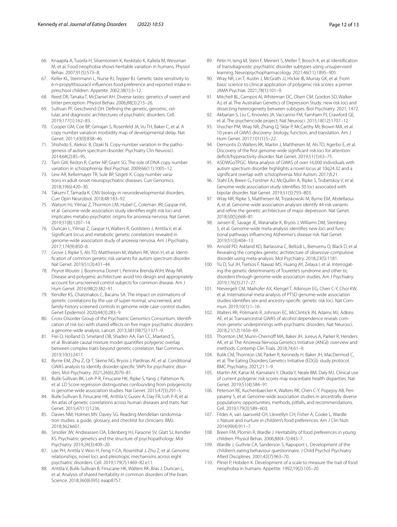- <span id="page-11-0"></span>66. Knaapila A, Tuorila H, Silventoinen K, Keskitalo K, Kallela M, Wessman M, et al. Food neophobia shows heritable variation in humans. Physiol Behav. 2007;91(5):573–8.
- <span id="page-11-1"></span>67. Keller KL, Steinmann L, Nurse RJ, Tepper BJ. Genetic taste sensitivity to 6-n-propylthiouracil infuences food preference and reported intake in preschool children. Appetite. 2002;38(1):3–12.
- <span id="page-11-2"></span>68. Reed DR, Tanaka T, McDaniel AH. Diverse tastes: genetics of sweet and bitter perception. Physiol Behav. 2006;88(3):215–26.
- <span id="page-11-3"></span>69. Sullivan PF, Geschwind DH. Defning the genetic, genomic, cellular, and diagnostic architectures of psychiatric disorders. Cell. 2019;177(1):162–83.
- <span id="page-11-4"></span>70. Cooper GM, Coe BP, Girirajan S, Rosenfeld JA, Vu TH, Baker C, et al. A copy number variation morbidity map of developmental delay. Nat Genet. 2011;43(9):838–46.
- <span id="page-11-5"></span>71. Shishido E, Aleksic B, Ozaki N. Copy-number variation in the pathogenesis of autism spectrum disorder. Psychiatry Clin Neurosci. 2014;68(2):85–95.
- <span id="page-11-6"></span>72. Tam GW, Redon R, Carter NP, Grant SG. The role of DNA copy number variation in schizophrenia. Biol Psychiat. 2009;66(11):1005–12.
- 73. Lew AR, Kellermayer TR, Sule BP, Szigeti K. Copy number variations in adult-onset neuropsychiatric diseases. Curr Genomics. 2018;19(6):420–30.
- <span id="page-11-7"></span>74. Takumi T, Tamada K. CNV biology in neurodevelopmental disorders. Curr Opin Neurobiol. 2018;48:183–92.
- <span id="page-11-8"></span>75. Watson HJ, Yilmaz Z, Thornton LM, Hubel C, Coleman JRI, Gaspar HA, et al. Genome-wide association study identifes eight risk loci and implicates metabo-psychiatric origins for anorexia nervosa. Nat Genet. 2019;51(8):1207–14.
- <span id="page-11-13"></span>76. Duncan L, Yilmaz Z, Gaspar H, Walters R, Goldstein J, Anttila V, et al. Signifcant locus and metabolic genetic correlations revealed in genome-wide association study of anorexia nervosa. Am J Psychiatry. 2017;174(9):850–8.
- <span id="page-11-14"></span>77. Grove J, Ripke S, Als TD, Mattheisen M, Walters RK, Won H, et al. Identifcation of common genetic risk variants for autism spectrum disorder. Nat Genet. 2019;51(3):431–44.
- <span id="page-11-16"></span>Peyrot Wouter J, Boomsma Dorret I, Penninx Brenda WJH, Wray NR. Disease and polygenic architecture: avoid trio design and appropriately account for unscreened control subjects for common disease. Am J Hum Genet. 2016;98(2):382–91.
- <span id="page-11-17"></span>79. Kendler KS, Chatzinakos C, Bacanu SA. The impact on estimations of genetic correlations by the use of super-normal, unscreened, and family-history screened controls in genome wide case-control studies. Genet Epidemiol. 2020;44(3):283–9.
- <span id="page-11-18"></span>80. Cross-Disorder Group of the Psychiatric Genomics Consortium. Identification of risk loci with shared efects on fve major psychiatric disorders: a genome-wide analysis. Lancet. 2013;381(9875):1371–9.
- <span id="page-11-19"></span>81. Frei O, Holland D, Smeland OB, Shadrin AA, Fan CC, Maeland S, et al. Bivariate causal mixture model quantifes polygenic overlap between complex traits beyond genetic correlation. Nat Commun. 2019;10(1):2417.
- <span id="page-11-20"></span>82. Byrne EM, Zhu Z, Qi T, Skene NG, Bryois J, Pardinas AF, et al. Conditional GWAS analysis to identify disorder-specifc SNPs for psychiatric disorders. Mol Psychiatry. 2021;26(6):2070–81.
- <span id="page-11-21"></span>83. Bulik-Sullivan BK, Loh P-R, Finucane HK, Ripke S, Yang J, Patterson N, et al. LD Score regression distinguishes confounding from polygenicity in genome-wide association studies. Nat Genet. 2015;47(3):291–5.
- <span id="page-11-22"></span>84. Bulik-Sullivan B, Finucane HK, Anttila V, Gusev A, Day FR, Loh P-R, et al. An atlas of genetic correlations across human diseases and traits. Nat Genet. 2015;47(11):1236.
- <span id="page-11-23"></span>85. Davies NM, Holmes MV, Davey SG. Reading Mendelian randomisation studies: a guide, glossary, and checklist for clinicians. BMJ. 2018;362:k601.
- <span id="page-11-24"></span>86. Smoller JW, Andreassen OA, Edenberg HJ, Faraone SV, Glatt SJ, Kendler KS. Psychiatric genetics and the structure of psychopathology. Mol Psychiatry. 2019;24(3):409–20.
- 87. Lee PH, Anttila V, Won H, Feng Y-CA, Rosenthal J, Zhu Z, et al. Genomic relationships, novel loci, and pleiotropic mechanisms across eight psychiatric disorders. Cell. 2019;179(7):1469–82.e11.
- 88. Anttila V, Bulik-Sullivan B, Finucane HK, Walters RK, Bras J, Duncan L, et al. Analysis of shared heritability in common disorders of the brain. Science. 2018;360(6395): eaap8757.
- <span id="page-11-25"></span>89. Pelin H, Ising M, Stein F, Meinert S, Meller T, Brosch K, et al. Identifcation of transdiagnostic psychiatric disorder subtypes using unsupervised learning. Neuropsychopharmacology. 2021;46(11):1895–905.
- <span id="page-11-15"></span>90. Wray NR, Lin T, Austin J, McGrath JJ, Hickie IB, Murray GK, et al. From basic science to clinical application of polygenic risk scores: a primer. JAMA Psychiat. 2021;78(1):101–9.
- <span id="page-11-26"></span>91. Mitchell BL, Campos AI, Whiteman DC, Olsen CM, Gordon SD, Walker AJ, et al. The Australian Genetics of Depression Study: new risk loci and dissecting heterogeneity between subtypes. Biol Psychiatry. 2021; 1472.
- <span id="page-11-27"></span>92. Akbarian S, Liu C, Knowles JA, Vaccarino FM, Farnham PJ, Crawford GE, et al. The psychencode project. Nat Neurosci. 2015;18(12):1707–12.
- <span id="page-11-28"></span>93. Visscher PM, Wray NR, Zhang Q, Sklar P, McCarthy MI, Brown MA, et al. 10 years of GWAS discovery: biology, function, and translation. Am J Hum Genet. 2017;101(1):5–22.
- <span id="page-11-29"></span>94. Demontis D, Walters RK, Martin J, Mattheisen M, Als TD, Agerbo E, et al. Discovery of the frst genome-wide signifcant risk loci for attention defcit/hyperactivity disorder. Nat Genet. 2019;51(1):63–75.
- <span id="page-11-30"></span>95. ASDWGoTPGC. Meta-analysis of GWAS of over 16,000 individuals with autism spectrum disorder highlights a novel locus at 10q24.32 and a signifcant overlap with schizophrenia. Mol Autism. 2017;8:21.
- <span id="page-11-31"></span>Stahl EA, Breen G, Forstner AJ, McQuillin A, Ripke S, Trubetskoy V, et al. Genome-wide association study identifes 30 loci associated with bipolar disorder. Nat Genet. 2019;51(5):793–803.
- <span id="page-11-32"></span>97. Wray NR, Ripke S, Mattheisen M, Trzaskowski M, Byrne EM, Abdellaoui A, et al. Genome-wide association analyses identify 44 risk variants and refne the genetic architecture of major depression. Nat Genet. 2018;50(5):668–81.
- <span id="page-11-33"></span>98. Jansen IE, Savage JE, Watanabe K, Bryois J, Williams DM, Steinberg S, et al. Genome-wide meta-analysis identifes new loci and functional pathways infuencing Alzheimer's disease risk. Nat Genet. 2019;51(3):404–13.
- <span id="page-11-34"></span>99. Arnold PD, Askland KD, Barlassina C, Bellodi L, Bienvenu O, Black D, et al. Revealing the complex genetic architecture of obsessive-compulsive disorder using meta-analysis. Mol Psychiatry. 2018;23(5):1181.
- <span id="page-11-35"></span>100. Yu D, Sul JH, Tsetsos F, Nawaz MS, Huang AY, Zelaya I, et al. Interrogating the genetic determinants of Tourette's syndrome and other tic disorders through genome-wide association studies. Am J Psychiatry. 2019;176(3):217–27.
- <span id="page-11-36"></span>101. Nievergelt CM, Maihofer AX, Klengel T, Atkinson EG, Chen C-Y, Choi KW, et al. International meta-analysis of PTSD genome-wide association studies identifes sex-and ancestry-specifc genetic risk loci. Nat Commun. 2019;10(1):1–16.
- <span id="page-11-37"></span>102. Walters RK, Polimanti R, Johnson EC, McClintick JN, Adams MJ, Adkins AE, et al. Transancestral GWAS of alcohol dependence reveals common genetic underpinnings with psychiatric disorders. Nat Neurosci. 2018;21(12):1656–69.
- <span id="page-11-38"></span>103. Thornton LM, Munn-Chernoff MA, Baker JH, Jureus A, Parker R, Henders AK, et al. The Anorexia Nervosa Genetics Initiative (ANGI): overview and methods. Contemp Clin Trials. 2018;74:61–9.
- <span id="page-11-39"></span>104. Bulik CM, Thornton LM, Parker R, Kennedy H, Baker JH, MacDermod C, et al. The Eating Disorders Genetics Initiative (EDGI): study protocol. BMC Psychiatry. 2021;21:1–9.
- <span id="page-11-40"></span>105. Martin AR, Kanai M, Kamatani Y, Okada Y, Neale BM, Daly MJ. Clinical use of current polygenic risk scores may exacerbate health disparities. Nat Genet. 2019;51(4):584–91.
- <span id="page-11-41"></span>106. Peterson RE, Kuchenbaecker K, Walters RK, Chen C-Y, Popejoy AB, Periyasamy S, et al. Genome-wide association studies in ancestrally diverse populations: opportunities, methods, pitfalls, and recommendations. Cell. 2019;179(3):589–603.
- <span id="page-11-9"></span>107. Fildes A, van Jaarsveld CH, Llewellyn CH, Fisher A, Cooke L, Wardle J. Nature and nurture in children's food preferences. Am J Clin Nutr. 2014;99(4):911–7.
- <span id="page-11-10"></span>108. Breen FM, Plomin R, Wardle J. Heritability of food preferences in young children. Physiol Behav. 2006;88(4–5):443–7.
- <span id="page-11-11"></span>109. Wardle J, Guthrie CA, Sanderson S, Rapoport L. Development of the children's eating behaviour questionnaire. J Child Psychol Psychiatry Allied Disciplines. 2001;42(7):963–70.
- <span id="page-11-12"></span>110. Pliner P, Hobden K. Development of a scale to measure the trait of food neophobia in humans. Appetite. 1992;19(2):105–20.